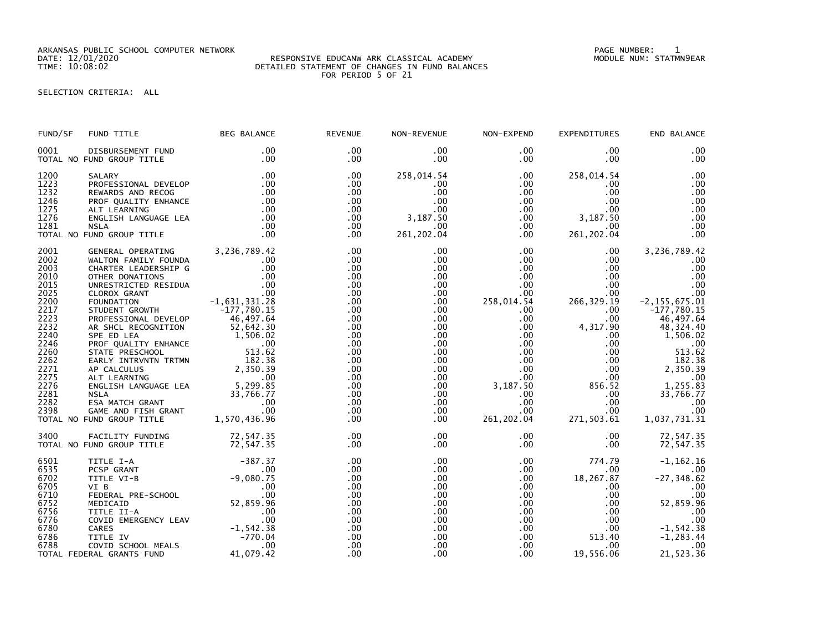ARKANSAS PUBLIC SCHOOL COMPUTER NETWORK PAGE NUMBER: 1

## DATE: 12/01/2020 RESPONSIVE EDUCANW ARK CLASSICAL ACADEMY MODULE NUM: STATMN9EAR TIME: 10:08:02 DETAILED STATEMENT OF CHANGES IN FUND BALANCES FOR PERIOD 5 OF 21

## SELECTION CRITERIA: ALL

| FUND/SF                                              | FUND TITLE                                                                                                                                                                                                                                                           | <b>BEG BALANCE</b> | <b>REVENUE</b>                                     | NON-REVENUE                                                              | NON-EXPEND                                                                      | EXPENDITURES                                                                                                                                                                                                                                                                                                                     | END BALANCE                                                 |
|------------------------------------------------------|----------------------------------------------------------------------------------------------------------------------------------------------------------------------------------------------------------------------------------------------------------------------|--------------------|----------------------------------------------------|--------------------------------------------------------------------------|---------------------------------------------------------------------------------|----------------------------------------------------------------------------------------------------------------------------------------------------------------------------------------------------------------------------------------------------------------------------------------------------------------------------------|-------------------------------------------------------------|
| 0001                                                 | DISBURSEMENT FUND<br>TOTAL NO FUND GROUP TITLE                                                                                                                                                                                                                       | .00<br>.00         | $.00 \times$<br>$.00 \,$                           | $.00 \,$<br>.00                                                          | $.00 \,$<br>$.00 \,$                                                            | .00<br>$.00 \,$                                                                                                                                                                                                                                                                                                                  | .00<br>.00                                                  |
| 1200<br>1223<br>1232<br>1246<br>1275<br>1276<br>1281 | SALARY .00<br>PROFESSIONAL DEVELOP .00<br>REWARDS AND RECOG .00<br>PROF QUALITY ENHANCE .00<br>ALT LEARNING .00<br>ALT LEARNING .00<br>CNGLISH LANGUAGE LEA .00<br>NSLA .00<br>NSLA .00<br><b>NSLA</b>                                                               | .00                | .00<br>.00<br>.00<br>.00<br>.00<br>$.00 \,$<br>.00 | 258,014.54<br>$.00 \,$<br>$.00 \,$<br>.00<br>$.00 \,$<br>3,187.50<br>.00 | $.00 \,$<br>$.00 \,$<br>.00<br>.00<br>.00<br>$.00\,$                            | 258,014.54<br>$.00 \,$<br>$.00 \,$<br>$.00 \cdot$<br>$.00 \,$<br>$\begin{array}{cc}\n 0.00 & 3,187.50 \\  0.00 & 0.0\n \end{array}$<br>.00                                                                                                                                                                                       | .00<br>.00<br>.00<br>.00<br>.00<br>.00<br>.00               |
|                                                      | TOTAL NO FUND GROUP TITLE                                                                                                                                                                                                                                            | .00                | .00                                                | 261, 202.04                                                              | $.00 \,$                                                                        | 261, 202.04                                                                                                                                                                                                                                                                                                                      | .00                                                         |
| 2001<br>2002<br>2003<br>2010<br>2015<br>2025<br>2200 | GENERAL OPERATING 3,236,789.42<br>WALTON FAMILY FOUNDA .00<br>CHARTER LEADERSHIP G .00<br>OTHER DONATIONS .00<br>OTHER DONATIONS .00<br>UNRESTRICTED RESIDUA .00<br>CLOROX GRANT .00<br>CLOROX GRANT .00<br>FOUNDATION .00<br>TOUNDATION .00<br>TO                   |                    | .00<br>.00<br>.00<br>.00<br>.00<br>.00<br>.00      | .00<br>.00<br>.00<br>.00<br>$.00 \,$<br>.00<br>.00                       | $.00 \,$<br>$.00\,$<br>$\begin{array}{r} .00\ 00\ 00\ 00\ 1.54\ 00 \end{array}$ | $.00 \,$<br>$.00 \,$<br>$.00 \,$<br>.00<br>.00<br>00.<br>266,329.19                                                                                                                                                                                                                                                              | 3,236,789.42<br>.00<br>.00<br>$\overline{00}$<br>.00<br>.00 |
| 2217<br>2223<br>2232<br>2240<br>2246<br>2260         | PROFESSIONAL DEVELOP<br>AR SHEL RECOGNITION 52,642.30                                                                                                                                                                                                                | 46,497.64          | .00<br>.00<br>.00<br>.00<br>.00<br>.00             | .00<br>$.00 \,$<br>$.00 \,$<br>$.00 \,$<br>$.00 \,$<br>.00               |                                                                                 | $\begin{array}{cccc} .00 & 266,329.19 & -2,155\,, \\ .00 & .00 & -177\,, \\ .00 & .00 & 46\,, \\ 00 & .00 & 4,317.90 & 48\,, \\ 0 & .00 & .00 & 1,50\,, \\ 0 & .00 & .00 & 0 & 1,50\,, \\ 0 & .00 & .00 & 515\,, \\ .00 & .00 & .00 & 513\,, \\ .00 & .00 & 2,350\,. \\ .00 & .00 & 2,350\,. \\ .00 & .00 & .00 & .0 \\ 3,187.5$ |                                                             |
| 2262<br>2271<br>2275<br>2276<br>2281<br>2282         | AR SHCL RECOGNITION<br>SPE ED LEA<br>PROF QUALITY ENHANCE<br>STATE PRESCHOOL<br>STATE PRESCHOOL<br>STATE PRESCHOOL<br>STATE PRESCHOOL<br>STATE LEARNING<br>ALT LEARNING<br>ALT LEARNING<br>ALT LEARNING<br>ALT LEARNING<br>ALT LEARNING<br>STATESA MATCH             |                    | .00<br>.00<br>.00<br>.00<br>.00<br>.00             | .00 <sub>1</sub><br>$.00 \,$<br>$.00 \,$<br>$.00 \,$<br>.00<br>$.00 \,$  |                                                                                 |                                                                                                                                                                                                                                                                                                                                  |                                                             |
| 2398                                                 | TOTAL NO FUND GROUP TITLE                                                                                                                                                                                                                                            |                    | .00<br>.00                                         | $.00 \,$<br>$.00 \,$                                                     |                                                                                 |                                                                                                                                                                                                                                                                                                                                  |                                                             |
|                                                      | 3400 FACILITY FUNDING 72,547.35<br>TOTAL NO FUND GROUP TITLE 72,547.35                                                                                                                                                                                               |                    | .00<br>.00                                         | .00<br>$.00 \,$                                                          | .00                                                                             | $.00 \,$                                                                                                                                                                                                                                                                                                                         | 72,547.35                                                   |
| 6501<br>6535<br>6702<br>6705                         | TITLE I-A<br>PCSP GRANT<br>TITLE VI-B<br>VI B<br>CO .00<br>VI B<br>FEDERAL PRE-SCHOOL<br>MEDICAID<br>MEDICAID<br>MEDICAID<br>MEDICAID<br>TITLE II-A<br>COVID EMERGENCY LEAV<br>CARES<br>CARES<br>CARES<br>CARES<br>TITLE IV<br>COVID SCHOOL MEALS<br>PRAL GRANTS FUN |                    | .00<br>.00<br>.00<br>.00                           | $.00 \,$<br>.00<br>.00<br>.00                                            | .00<br>$.00\,$<br>$.00 \,$<br>$.00 \,$                                          | 774.79<br>$.00\,$<br>18,267.87<br>$.00 \,$                                                                                                                                                                                                                                                                                       | $-1, 162.16$<br>.00<br>$-27, 348.62$<br>.00                 |
| 6710<br>6752<br>6756<br>6776<br>6780                 |                                                                                                                                                                                                                                                                      |                    | .00<br>.00<br>.00<br>.00<br>.00                    | .00<br>.00<br>.00<br>.00<br>.00                                          | .00<br>$\frac{100}{20}$<br>.00<br>.00<br>.00                                    | $.00 \,$<br>$.00 \,$<br>$.00 \,$<br>$.00 \,$<br>.00                                                                                                                                                                                                                                                                              | 00<br>52,859.96<br>.00<br>.00<br>$-1, 542.38$               |
| 6786<br>6788                                         | TOTAL FEDERAL GRANTS FUND                                                                                                                                                                                                                                            |                    | .00<br>.00<br>.00                                  | $.00 \,$<br>.00<br>.00                                                   | $.00 \ \,$<br>$.00 \,$                                                          | 513.40<br>$\frac{00}{20}$<br>$.00 \,$<br>19,556.06                                                                                                                                                                                                                                                                               | $-1, 283.44$<br>.00<br>21,523.36                            |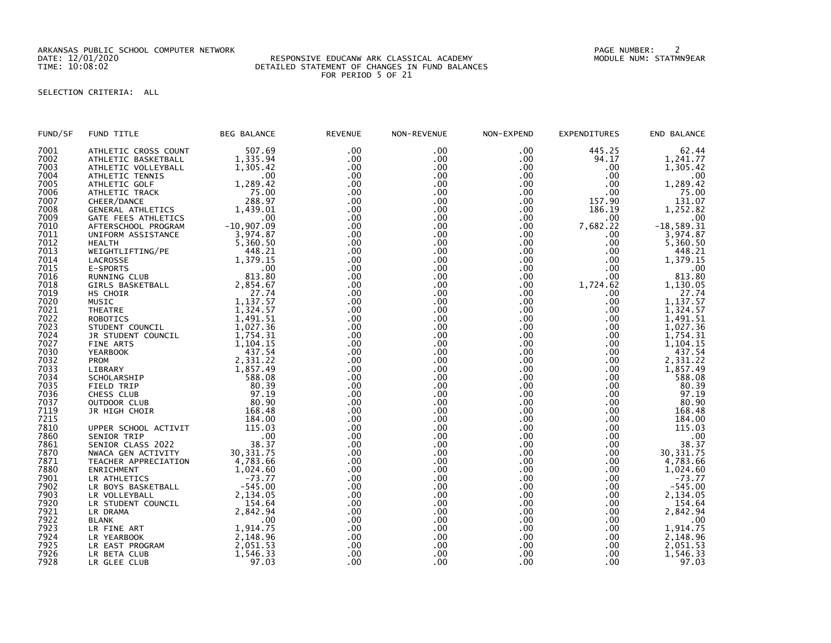ARKANSAS PUBLIC SCHOOL COMPUTER NETWORK PAGE NUMBER: 2

## DATE: 12/01/2020 RESPONSIVE EDUCANW ARK CLASSICAL ACADEMY MODULE NUM: STATMN9EAR TIME: 10:08:02 DETAILED STATEMENT OF CHANGES IN FUND BALANCES FOR PERIOD 5 OF 21

## SELECTION CRITERIA: ALL

| FUND/SF | FUND TITLE              | <b>BEG BALANCE</b> | <b>REVENUE</b> | NON-REVENUE | NON-EXPEND       | <b>EXPENDITURES</b> | END BALANCE  |
|---------|-------------------------|--------------------|----------------|-------------|------------------|---------------------|--------------|
| 7001    | ATHLETIC CROSS COUNT    | 507.69             | .00            | .00         | .00              | 445.25              | 62.44        |
| 7002    | ATHLETIC BASKETBALL     | 1,335.94           | .00            | .00         | $.00 \,$         | 94.17               | 1,241.77     |
| 7003    | ATHLETIC VOLLEYBALL     | 1.305.42           | .00            | .00         | .00              | .00                 | 1.305.42     |
| 7004    | ATHLETIC TENNIS         | .00                | .00            | .00.        | .00              | .00                 | $.00 \times$ |
| 7005    | ATHLETIC GOLF           | 1,289.42           | .00            | .00         | .00              | .00                 | 1,289.42     |
| 7006    | ATHLETIC TRACK          | 75.00              | .00            | .00         | .00              | .00                 | 75.00        |
| 7007    | CHEER/DANCE             | 288.97             | .00            | .00         | .00              | 157.90              | 131.07       |
| 7008    | GENERAL ATHLETICS       | 1,439.01           | .00            | .00         | .00              | 186.19              | 1,252.82     |
| 7009    | GATE FEES ATHLETICS     | .00                | .00            | .00         | .00              | .00                 | .00.         |
| 7010    | AFTERSCHOOL PROGRAM     | $-10,907.09$       | .00            | .00         | $.00 \,$         | 7,682.22            | $-18,589.31$ |
| 7011    | UNIFORM ASSISTANCE      | 3,974.87           | .00            | .00         | $.00 \times$     | .00                 | 3,974.87     |
| 7012    |                         |                    | .00            |             |                  |                     |              |
|         | <b>HEALTH</b>           | 5.360.50           |                | .00         | .00 <sub>1</sub> | .00                 | 5.360.50     |
| 7013    | WEIGHTLIFTING/PE        | 448.21             | .00            | .00         | .00              | .00                 | 448.21       |
| 7014    | LACROSSE                | 1,379.15           | .00            | .00         | .00              | .00                 | 1,379.15     |
| 7015    | E-SPORTS                | .00                | .00            | .00         | .00              | .00                 | .00          |
| 7016    | RUNNING CLUB            | 813.80             | .00            | .00         | .00              | .00                 | 813.80       |
| 7018    | <b>GIRLS BASKETBALL</b> | 2,854.67           | .00            | .00         | .00              | 1,724.62            | 1,130.05     |
| 7019    | HS CHOIR                | 27.74              | .00            | .00         | .00 <sub>1</sub> | .00                 | 27.74        |
| 7020    | MUSIC                   | 1,137.57           | .00            | .00         | $.00 \,$         | .00                 | 1,137.57     |
| 7021    | <b>THEATRE</b>          | 1,324.57           | .00            | .00         | .00              | .00                 | 1,324.57     |
| 7022    | <b>ROBOTICS</b>         | 1,491.51           | .00            | .00         | .00              | .00                 | 1,491.51     |
| 7023    | STUDENT COUNCIL         | 1,027.36           | .00            | .00         | .00              | .00                 | 1,027.36     |
| 7024    | JR STUDENT COUNCIL      | 1,754.31           | .00            | .00.        | $.00 \times$     | .00                 | 1,754.31     |
| 7027    | <b>FINE ARTS</b>        | 1,104.15           | .00            | .00         | .00 <sub>1</sub> | .00                 | 1,104.15     |
| 7030    | <b>YEARBOOK</b>         | 437.54             | .00            | .00         | .00              | .00                 | 437.54       |
| 7032    | <b>PROM</b>             | 2,331.22           | .00            | .00         | $.00 \,$         | .00                 | 2,331.22     |
| 7033    | LIBRARY                 | 1,857.49           | .00            | .00         | .00 <sub>1</sub> | .00                 | 1,857.49     |
| 7034    | SCHOLARSHIP             | 588.08             | .00            | .00         | .00              | .00                 | 588.08       |
| 7035    | FIELD TRIP              | 80.39              | .00            | .00         | .00              | .00                 | 80.39        |
| 7036    | CHESS CLUB              | 97.19              | .00            | .00         | .00              | .00                 | 97.19        |
| 7037    | OUTDOOR CLUB            | 80.90              | .00            | .00         | $.00 \times$     | .00                 | 80.90        |
| 7119    | JR HIGH CHOIR           | 168.48             | .00            | .00         | .00              | .00                 | 168.48       |
| 7215    |                         | 184.00             | .00            | .00         | .00              | .00                 | 184.00       |
| 7810    | UPPER SCHOOL ACTIVIT    | 115.03             | .00            | .00         | .00              | .00                 | 115.03       |
| 7860    | SENIOR TRIP             | .00                | .00            | .00         | $.00 \,$         | .00                 | .00          |
| 7861    | SENIOR CLASS 2022       | 38.37              | .00            | .00         | .00              | .00                 | 38.37        |
| 7870    | NWACA GEN ACTIVITY      | 30, 331.75         | .00            | .00         | .00              | .00                 | 30, 331.75   |
|         | TEACHER APPRECIATION    |                    | .00            | .00         | $.00 \times$     | .00                 |              |
| 7871    |                         | 4,783.66           |                |             |                  |                     | 4,783.66     |
| 7880    | <b>ENRICHMENT</b>       | 1,024.60           | .00            | .00         | .00              | .00                 | 1,024.60     |
| 7901    | LR ATHLETICS            | $-73.77$           | .00            | .00         | .00              | .00                 | $-73.77$     |
| 7902    | LR BOYS BASKETBALL      | $-545.00$          | .00            | .00         | .00              | .00                 | $-545.00$    |
| 7903    | LR VOLLEYBALL           | 2.134.05           | .00            | .00         | .00              | .00                 | 2.134.05     |
| 7920    | LR STUDENT COUNCIL      | 154.64             | .00            | .00         | .00              | .00                 | 154.64       |
| 7921    | LR DRAMA                | 2,842.94           | .00            | .00         | .00              | .00                 | 2,842.94     |
| 7922    | <b>BLANK</b>            | .00                | .00            | .00         | .00              | .00                 | .00          |
| 7923    | LR FINE ART             | 1,914.75           | .00            | .00         | .00              | .00                 | 1,914.75     |
| 7924    | LR YEARBOOK             | 2,148.96           | .00            | .00         | $.00 \times$     | .00                 | 2,148.96     |
| 7925    | LR EAST PROGRAM         | 2.051.53           | .00            | .00         | .00              | .00                 | 2,051.53     |
| 7926    | LR BETA CLUB            | 1,546.33           | .00            | .00         | .00              | .00                 | 1,546.33     |
| 7928    | LR GLEE CLUB            | 97.03              | .00            | .00         | .00              | .00.                | 97.03        |